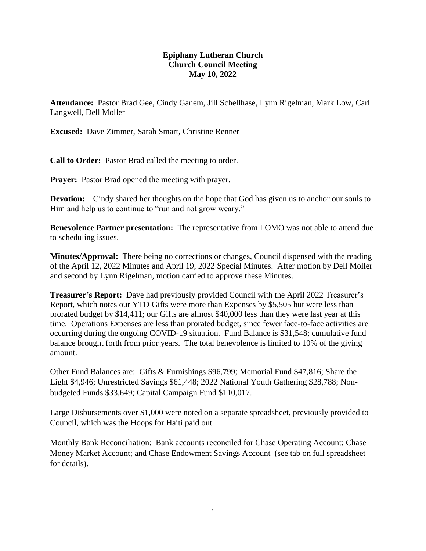## **Epiphany Lutheran Church Church Council Meeting May 10, 2022**

**Attendance:** Pastor Brad Gee, Cindy Ganem, Jill Schellhase, Lynn Rigelman, Mark Low, Carl Langwell, Dell Moller

**Excused:** Dave Zimmer, Sarah Smart, Christine Renner

**Call to Order:** Pastor Brad called the meeting to order.

**Prayer:** Pastor Brad opened the meeting with prayer.

**Devotion:** Cindy shared her thoughts on the hope that God has given us to anchor our souls to Him and help us to continue to "run and not grow weary."

**Benevolence Partner presentation:** The representative from LOMO was not able to attend due to scheduling issues.

**Minutes/Approval:** There being no corrections or changes, Council dispensed with the reading of the April 12, 2022 Minutes and April 19, 2022 Special Minutes. After motion by Dell Moller and second by Lynn Rigelman, motion carried to approve these Minutes.

**Treasurer's Report:** Dave had previously provided Council with the April 2022 Treasurer's Report, which notes our YTD Gifts were more than Expenses by \$5,505 but were less than prorated budget by \$14,411; our Gifts are almost \$40,000 less than they were last year at this time. Operations Expenses are less than prorated budget, since fewer face-to-face activities are occurring during the ongoing COVID-19 situation. Fund Balance is \$31,548; cumulative fund balance brought forth from prior years. The total benevolence is limited to 10% of the giving amount.

Other Fund Balances are: Gifts & Furnishings \$96,799; Memorial Fund \$47,816; Share the Light \$4,946; Unrestricted Savings \$61,448; 2022 National Youth Gathering \$28,788; Nonbudgeted Funds \$33,649; Capital Campaign Fund \$110,017.

Large Disbursements over \$1,000 were noted on a separate spreadsheet, previously provided to Council, which was the Hoops for Haiti paid out.

Monthly Bank Reconciliation: Bank accounts reconciled for Chase Operating Account; Chase Money Market Account; and Chase Endowment Savings Account (see tab on full spreadsheet for details).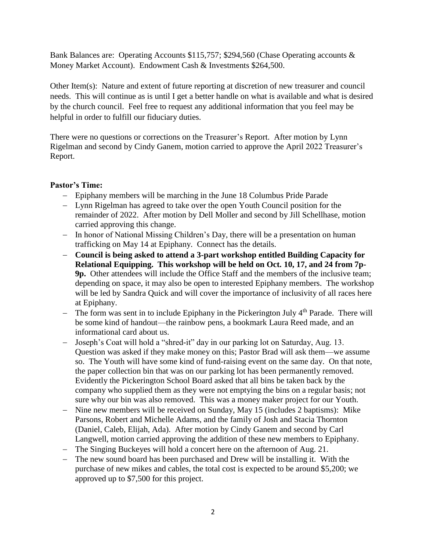Bank Balances are: Operating Accounts \$115,757; \$294,560 (Chase Operating accounts & Money Market Account). Endowment Cash & Investments \$264,500.

Other Item(s): Nature and extent of future reporting at discretion of new treasurer and council needs. This will continue as is until I get a better handle on what is available and what is desired by the church council. Feel free to request any additional information that you feel may be helpful in order to fulfill our fiduciary duties.

There were no questions or corrections on the Treasurer's Report. After motion by Lynn Rigelman and second by Cindy Ganem, motion carried to approve the April 2022 Treasurer's Report.

## **Pastor's Time:**

- Epiphany members will be marching in the June 18 Columbus Pride Parade
- Lynn Rigelman has agreed to take over the open Youth Council position for the remainder of 2022. After motion by Dell Moller and second by Jill Schellhase, motion carried approving this change.
- In honor of National Missing Children's Day, there will be a presentation on human trafficking on May 14 at Epiphany. Connect has the details.
- **Council is being asked to attend a 3-part workshop entitled Building Capacity for Relational Equipping. This workshop will be held on Oct. 10, 17, and 24 from 7p-9p.** Other attendees will include the Office Staff and the members of the inclusive team; depending on space, it may also be open to interested Epiphany members. The workshop will be led by Sandra Quick and will cover the importance of inclusivity of all races here at Epiphany.
- $-$  The form was sent in to include Epiphany in the Pickerington July  $4<sup>th</sup>$  Parade. There will be some kind of handout—the rainbow pens, a bookmark Laura Reed made, and an informational card about us.
- Joseph's Coat will hold a "shred-it" day in our parking lot on Saturday, Aug. 13. Question was asked if they make money on this; Pastor Brad will ask them—we assume so. The Youth will have some kind of fund-raising event on the same day. On that note, the paper collection bin that was on our parking lot has been permanently removed. Evidently the Pickerington School Board asked that all bins be taken back by the company who supplied them as they were not emptying the bins on a regular basis; not sure why our bin was also removed. This was a money maker project for our Youth.
- Nine new members will be received on Sunday, May 15 (includes 2 baptisms): Mike Parsons, Robert and Michelle Adams, and the family of Josh and Stacia Thornton (Daniel, Caleb, Elijah, Ada). After motion by Cindy Ganem and second by Carl Langwell, motion carried approving the addition of these new members to Epiphany.
- The Singing Buckeyes will hold a concert here on the afternoon of Aug. 21.
- The new sound board has been purchased and Drew will be installing it. With the purchase of new mikes and cables, the total cost is expected to be around \$5,200; we approved up to \$7,500 for this project.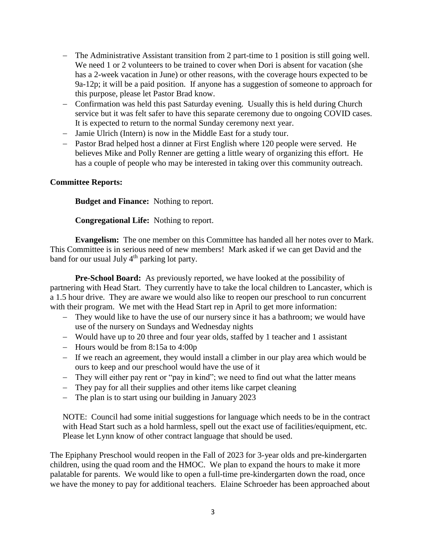- The Administrative Assistant transition from 2 part-time to 1 position is still going well. We need 1 or 2 volunteers to be trained to cover when Dori is absent for vacation (she has a 2-week vacation in June) or other reasons, with the coverage hours expected to be 9a-12p; it will be a paid position. If anyone has a suggestion of someone to approach for this purpose, please let Pastor Brad know.
- Confirmation was held this past Saturday evening. Usually this is held during Church service but it was felt safer to have this separate ceremony due to ongoing COVID cases. It is expected to return to the normal Sunday ceremony next year.
- Jamie Ulrich (Intern) is now in the Middle East for a study tour.
- Pastor Brad helped host a dinner at First English where 120 people were served. He believes Mike and Polly Renner are getting a little weary of organizing this effort. He has a couple of people who may be interested in taking over this community outreach.

## **Committee Reports:**

**Budget and Finance:** Nothing to report.

**Congregational Life:** Nothing to report.

**Evangelism:** The one member on this Committee has handed all her notes over to Mark. This Committee is in serious need of new members! Mark asked if we can get David and the band for our usual July 4<sup>th</sup> parking lot party.

**Pre-School Board:** As previously reported, we have looked at the possibility of partnering with Head Start. They currently have to take the local children to Lancaster, which is a 1.5 hour drive. They are aware we would also like to reopen our preschool to run concurrent with their program. We met with the Head Start rep in April to get more information:

- They would like to have the use of our nursery since it has a bathroom; we would have use of the nursery on Sundays and Wednesday nights
- Would have up to 20 three and four year olds, staffed by 1 teacher and 1 assistant
- $-$  Hours would be from 8:15a to 4:00p
- If we reach an agreement, they would install a climber in our play area which would be ours to keep and our preschool would have the use of it
- They will either pay rent or "pay in kind"; we need to find out what the latter means
- They pay for all their supplies and other items like carpet cleaning
- The plan is to start using our building in January 2023

NOTE: Council had some initial suggestions for language which needs to be in the contract with Head Start such as a hold harmless, spell out the exact use of facilities/equipment, etc. Please let Lynn know of other contract language that should be used.

The Epiphany Preschool would reopen in the Fall of 2023 for 3-year olds and pre-kindergarten children, using the quad room and the HMOC. We plan to expand the hours to make it more palatable for parents. We would like to open a full-time pre-kindergarten down the road, once we have the money to pay for additional teachers. Elaine Schroeder has been approached about